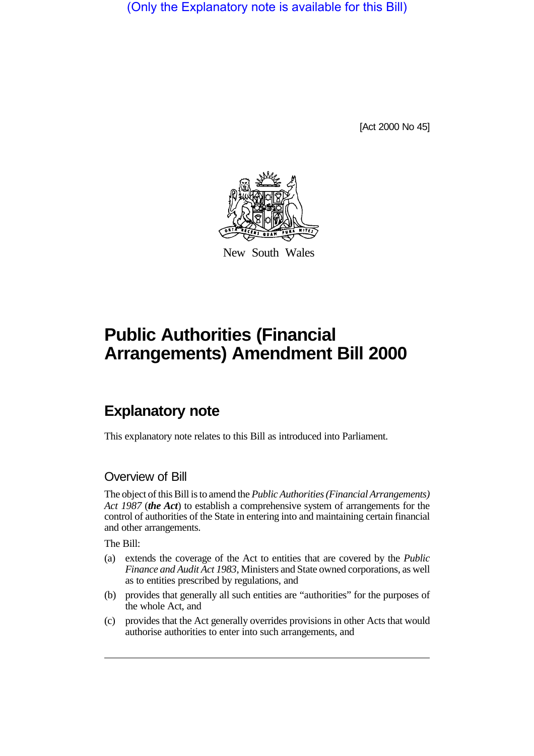(Only the Explanatory note is available for this Bill)

[Act 2000 No 45]



New South Wales

# **Public Authorities (Financial Arrangements) Amendment Bill 2000**

## **Explanatory note**

This explanatory note relates to this Bill as introduced into Parliament.

### Overview of Bill

The object of this Bill is to amend the *Public Authorities (Financial Arrangements) Act 1987* (*the Act*) to establish a comprehensive system of arrangements for the control of authorities of the State in entering into and maintaining certain financial and other arrangements.

The Bill:

- (a) extends the coverage of the Act to entities that are covered by the *Public Finance and Audit Act 1983*, Ministers and State owned corporations, as well as to entities prescribed by regulations, and
- (b) provides that generally all such entities are "authorities" for the purposes of the whole Act, and
- (c) provides that the Act generally overrides provisions in other Acts that would authorise authorities to enter into such arrangements, and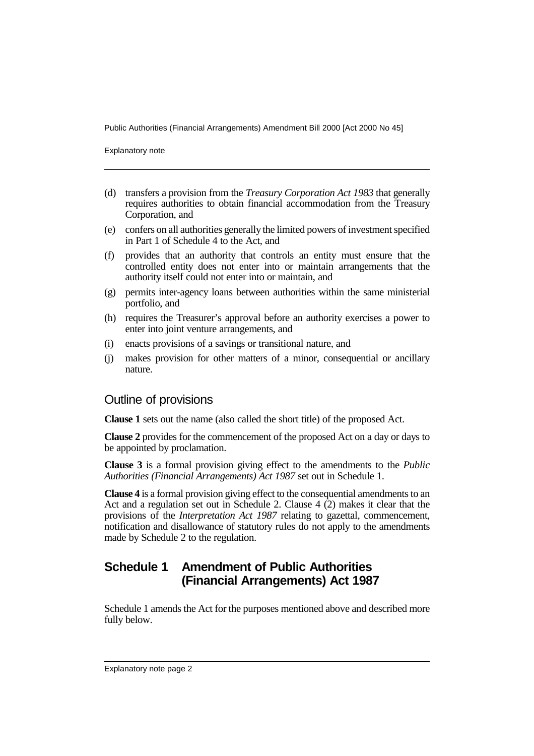Explanatory note

- (d) transfers a provision from the *Treasury Corporation Act 1983* that generally requires authorities to obtain financial accommodation from the Treasury Corporation, and
- (e) confers on all authorities generally the limited powers of investment specified in Part 1 of Schedule 4 to the Act, and
- (f) provides that an authority that controls an entity must ensure that the controlled entity does not enter into or maintain arrangements that the authority itself could not enter into or maintain, and
- (g) permits inter-agency loans between authorities within the same ministerial portfolio, and
- (h) requires the Treasurer's approval before an authority exercises a power to enter into joint venture arrangements, and
- (i) enacts provisions of a savings or transitional nature, and
- (j) makes provision for other matters of a minor, consequential or ancillary nature.

#### Outline of provisions

**Clause 1** sets out the name (also called the short title) of the proposed Act.

**Clause 2** provides for the commencement of the proposed Act on a day or days to be appointed by proclamation.

**Clause 3** is a formal provision giving effect to the amendments to the *Public Authorities (Financial Arrangements) Act 1987* set out in Schedule 1.

**Clause 4** is a formal provision giving effect to the consequential amendments to an Act and a regulation set out in Schedule 2. Clause 4 (2) makes it clear that the provisions of the *Interpretation Act 1987* relating to gazettal, commencement, notification and disallowance of statutory rules do not apply to the amendments made by Schedule 2 to the regulation.

## **Schedule 1 Amendment of Public Authorities (Financial Arrangements) Act 1987**

Schedule 1 amends the Act for the purposes mentioned above and described more fully below.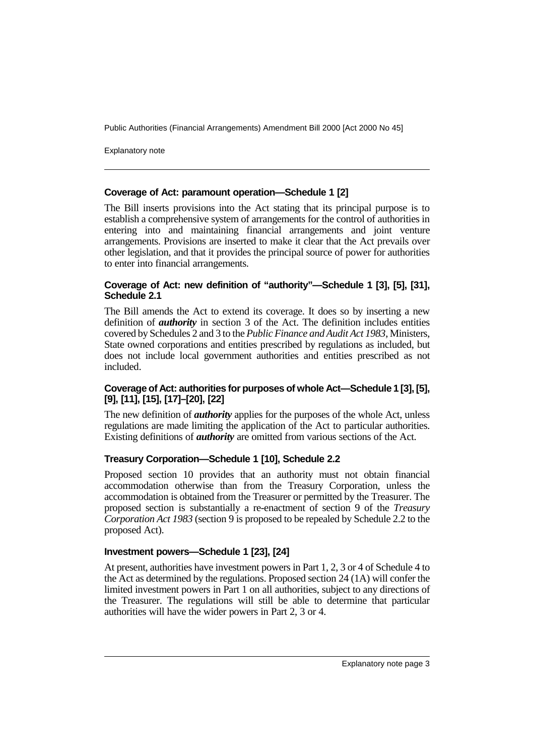Explanatory note

#### **Coverage of Act: paramount operation—Schedule 1 [2]**

The Bill inserts provisions into the Act stating that its principal purpose is to establish a comprehensive system of arrangements for the control of authorities in entering into and maintaining financial arrangements and joint venture arrangements. Provisions are inserted to make it clear that the Act prevails over other legislation, and that it provides the principal source of power for authorities to enter into financial arrangements.

#### **Coverage of Act: new definition of "authority"—Schedule 1 [3], [5], [31], Schedule 2.1**

The Bill amends the Act to extend its coverage. It does so by inserting a new definition of *authority* in section 3 of the Act. The definition includes entities covered by Schedules 2 and 3 to the *Public Finance and Audit Act 1983*, Ministers, State owned corporations and entities prescribed by regulations as included, but does not include local government authorities and entities prescribed as not included.

#### **Coverage of Act: authorities for purposes of whole Act—Schedule 1 [3], [5], [9], [11], [15], [17]–[20], [22]**

The new definition of *authority* applies for the purposes of the whole Act, unless regulations are made limiting the application of the Act to particular authorities. Existing definitions of *authority* are omitted from various sections of the Act.

#### **Treasury Corporation—Schedule 1 [10], Schedule 2.2**

Proposed section 10 provides that an authority must not obtain financial accommodation otherwise than from the Treasury Corporation, unless the accommodation is obtained from the Treasurer or permitted by the Treasurer. The proposed section is substantially a re-enactment of section 9 of the *Treasury Corporation Act 1983* (section 9 is proposed to be repealed by Schedule 2.2 to the proposed Act).

#### **Investment powers—Schedule 1 [23], [24]**

At present, authorities have investment powers in Part 1, 2, 3 or 4 of Schedule 4 to the Act as determined by the regulations. Proposed section 24 (1A) will confer the limited investment powers in Part 1 on all authorities, subject to any directions of the Treasurer. The regulations will still be able to determine that particular authorities will have the wider powers in Part 2, 3 or 4.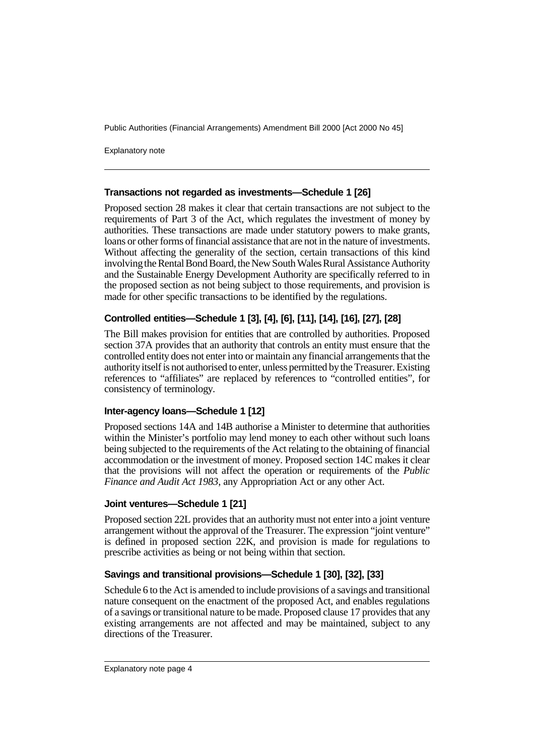Explanatory note

#### **Transactions not regarded as investments—Schedule 1 [26]**

Proposed section 28 makes it clear that certain transactions are not subject to the requirements of Part 3 of the Act, which regulates the investment of money by authorities. These transactions are made under statutory powers to make grants, loans or other forms of financial assistance that are not in the nature of investments. Without affecting the generality of the section, certain transactions of this kind involving the Rental Bond Board, the New South Wales Rural Assistance Authority and the Sustainable Energy Development Authority are specifically referred to in the proposed section as not being subject to those requirements, and provision is made for other specific transactions to be identified by the regulations.

#### **Controlled entities—Schedule 1 [3], [4], [6], [11], [14], [16], [27], [28]**

The Bill makes provision for entities that are controlled by authorities. Proposed section 37A provides that an authority that controls an entity must ensure that the controlled entity does not enter into or maintain any financial arrangements that the authority itself is not authorised to enter, unless permitted by the Treasurer. Existing references to "affiliates" are replaced by references to "controlled entities", for consistency of terminology.

#### **Inter-agency loans—Schedule 1 [12]**

Proposed sections 14A and 14B authorise a Minister to determine that authorities within the Minister's portfolio may lend money to each other without such loans being subjected to the requirements of the Act relating to the obtaining of financial accommodation or the investment of money. Proposed section 14C makes it clear that the provisions will not affect the operation or requirements of the *Public Finance and Audit Act 1983*, any Appropriation Act or any other Act.

#### **Joint ventures—Schedule 1 [21]**

Proposed section 22L provides that an authority must not enter into a joint venture arrangement without the approval of the Treasurer. The expression "joint venture" is defined in proposed section 22K, and provision is made for regulations to prescribe activities as being or not being within that section.

#### **Savings and transitional provisions—Schedule 1 [30], [32], [33]**

Schedule 6 to the Act is amended to include provisions of a savings and transitional nature consequent on the enactment of the proposed Act, and enables regulations of a savings or transitional nature to be made. Proposed clause 17 provides that any existing arrangements are not affected and may be maintained, subject to any directions of the Treasurer.